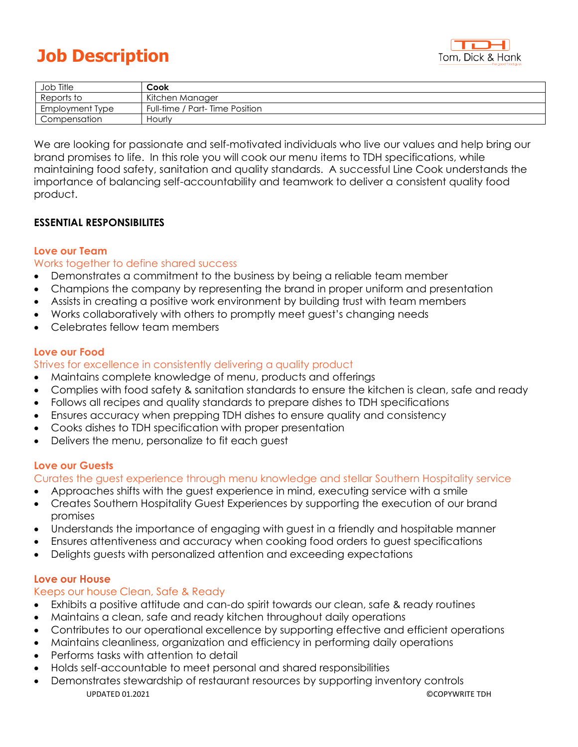# **Job Description**



| Job Title       | Cook                           |
|-----------------|--------------------------------|
| Reports to      | Kitchen Manager                |
| Employment Type | Full-time / Part-Time Position |
| Compensation    | Hourly                         |

We are looking for passionate and self-motivated individuals who live our values and help bring our brand promises to life. In this role you will cook our menu items to TDH specifications, while maintaining food safety, sanitation and quality standards. A successful Line Cook understands the importance of balancing self-accountability and teamwork to deliver a consistent quality food product.

# **ESSENTIAL RESPONSIBILITES**

# **Love our Team**

#### Works together to define shared success

- Demonstrates a commitment to the business by being a reliable team member
- Champions the company by representing the brand in proper uniform and presentation
- Assists in creating a positive work environment by building trust with team members
- Works collaboratively with others to promptly meet guest's changing needs
- Celebrates fellow team members

# **Love our Food**

#### Strives for excellence in consistently delivering a quality product

- Maintains complete knowledge of menu, products and offerings
- Complies with food safety & sanitation standards to ensure the kitchen is clean, safe and ready
- Follows all recipes and quality standards to prepare dishes to TDH specifications
- Ensures accuracy when prepping TDH dishes to ensure quality and consistency
- Cooks dishes to TDH specification with proper presentation
- Delivers the menu, personalize to fit each guest

# **Love our Guests**

Curates the guest experience through menu knowledge and stellar Southern Hospitality service

- Approaches shifts with the guest experience in mind, executing service with a smile
- Creates Southern Hospitality Guest Experiences by supporting the execution of our brand promises
- Understands the importance of engaging with guest in a friendly and hospitable manner
- Ensures attentiveness and accuracy when cooking food orders to guest specifications
- Delights guests with personalized attention and exceeding expectations

# **Love our House**

# Keeps our house Clean, Safe & Ready

- Exhibits a positive attitude and can-do spirit towards our clean, safe & ready routines
- Maintains a clean, safe and ready kitchen throughout daily operations
- Contributes to our operational excellence by supporting effective and efficient operations
- Maintains cleanliness, organization and efficiency in performing daily operations
- Performs tasks with attention to detail
- Holds self-accountable to meet personal and shared responsibilities
- UPDATED 01.2021 ©COPYWRITE TDH • Demonstrates stewardship of restaurant resources by supporting inventory controls